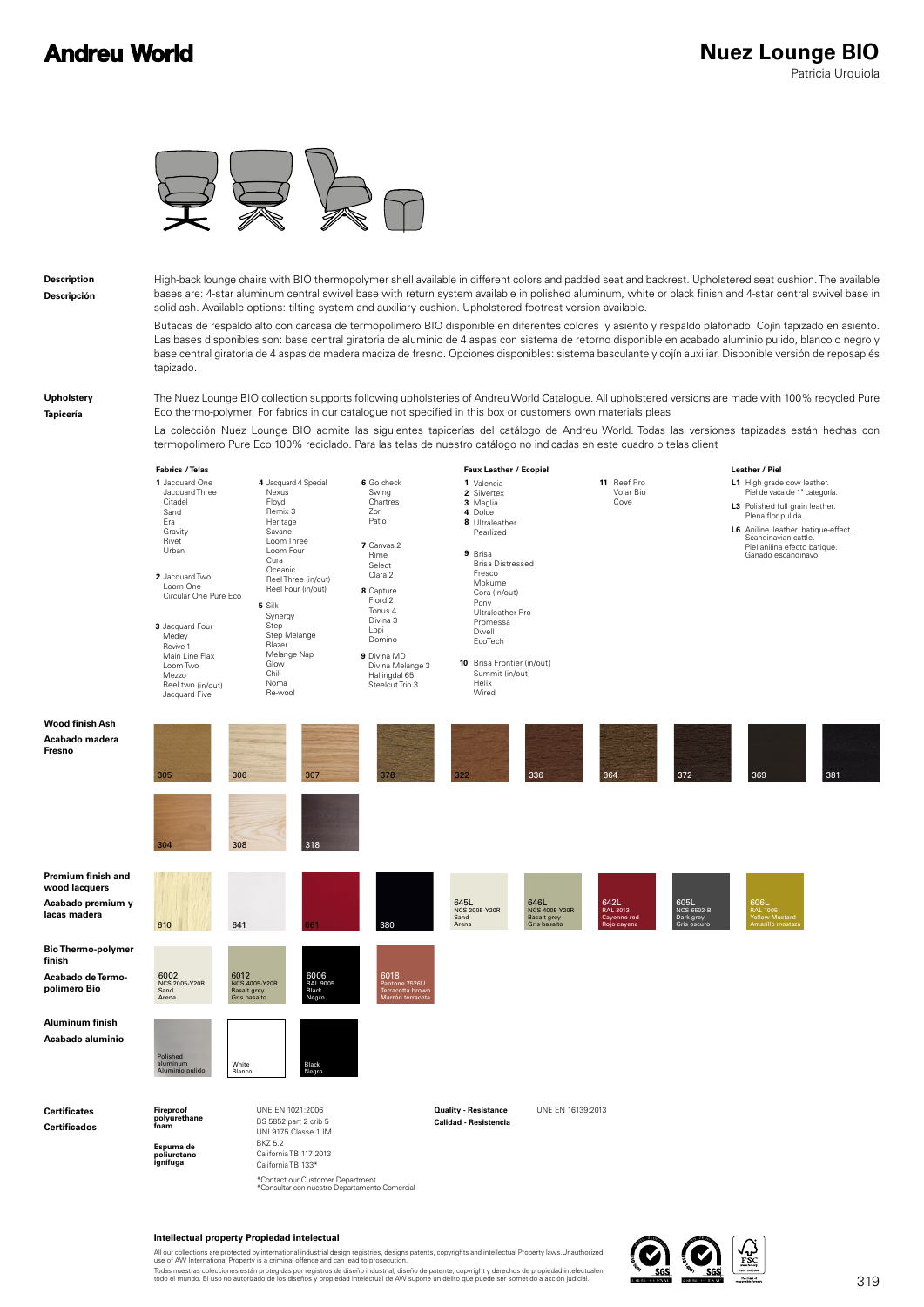## **Andreu World**



**Description Descripción** High-back lounge chairs with BIO thermopolymer shell available in different colors and padded seat and backrest. Upholstered seat cushion. The available bases are: 4-star aluminum central swivel base with return system available in polished aluminum, white or black finish and 4-star central swivel base in solid ash. Available options: tilting system and auxiliary cushion. Upholstered footrest version available.

Butacas de respaldo alto con carcasa de termopolímero BIO disponible en diferentes colores y asiento y respaldo plafonado. Cojín tapizado en asiento. Las bases disponibles son: base central giratoria de aluminio de 4 aspas con sistema de retorno disponible en acabado aluminio pulido, blanco o negro y base central giratoria de 4 aspas de madera maciza de fresno. Opciones disponibles: sistema basculante y cojín auxiliar. Disponible versión de reposapiés tapizado.

### **Upholstery Tapicería**

The Nuez Lounge BIO collection supports following upholsteries of Andreu World Catalogue. All upholstered versions are made with 100% recycled Pure Eco thermo-polymer. For fabrics in our catalogue not specified in this box or customers own materials pleas

La colección Nuez Lounge BIO admite las siguientes tapicerías del catálogo de Andreu World. Todas las versiones tapizadas están hechas con termopolímero Pure Eco 100% reciclado. Para las telas de nuestro catálogo no indicadas en este cuadro o telas client



\*Contact our Customer Department<br>\*Consultar con nuestro Departamento Comercial

#### **Intellectual property Propiedad intelectual**

All our collections are protected by international industrial design registries, designs patents, copyrights and intellectual Property laws.Unauthorized<br>use of AW International Property is a criminal offence and can lead t

Todas nuestras colecciones están protegidas por registros de diseño industrial, diseño de patente, copyright y derechos de propiedad intelectualen<br>todo el mundo. El uso no autorizado de los diseños y propiedad intelectual

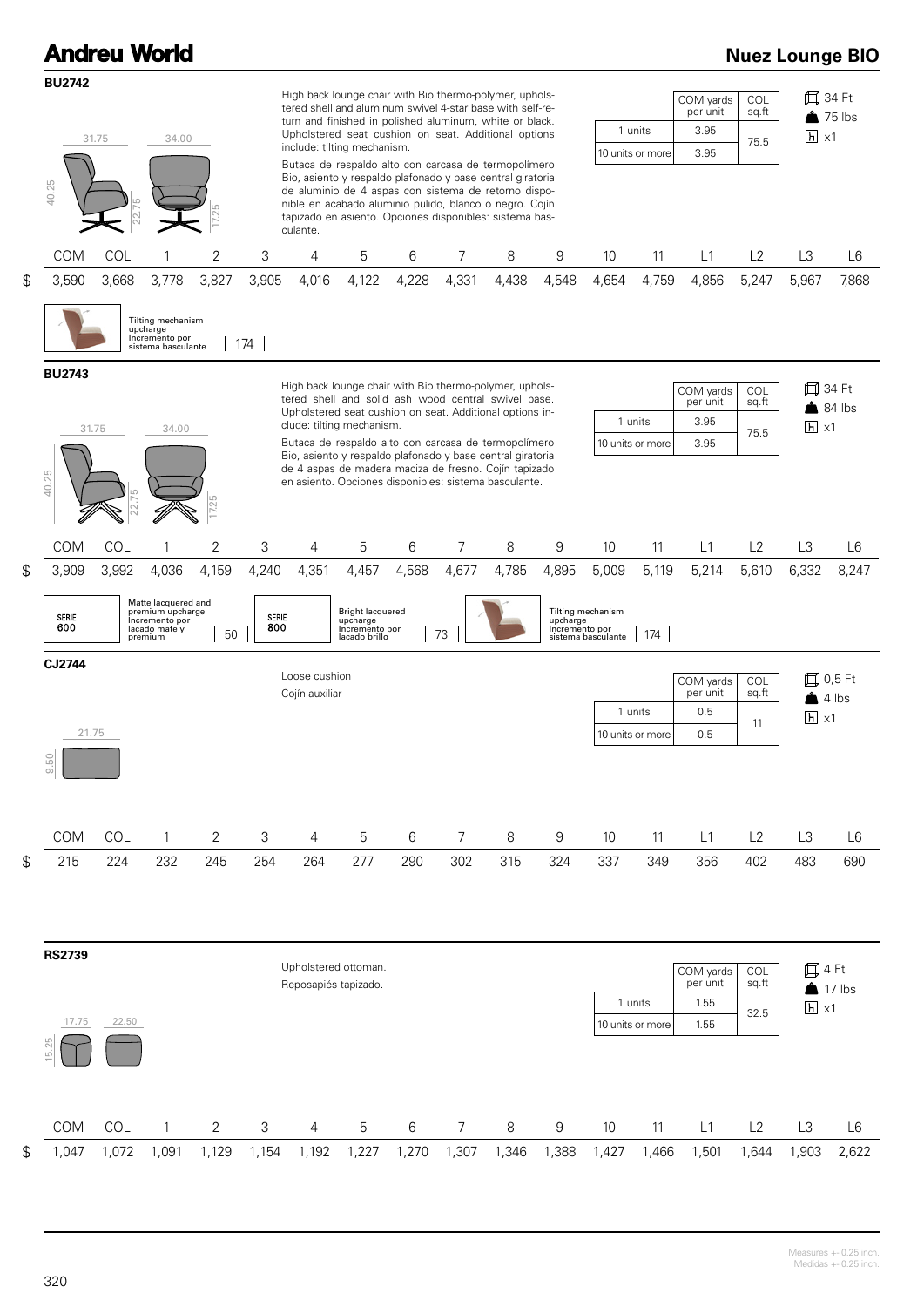| <b>Andreu World</b>                |                |                                                                                                |                |                       |                                                                                                                                                                                                                                                                                                                                                                                                                                                                                                                                                                                        |                                                                                 |       |                                                                                                                                                                                                                                                                                                                                                                                                                    |       |                                     |                                                  |                                                               |                                       |                                          |                                             | <b>Nuez Lounge BIO</b> |
|------------------------------------|----------------|------------------------------------------------------------------------------------------------|----------------|-----------------------|----------------------------------------------------------------------------------------------------------------------------------------------------------------------------------------------------------------------------------------------------------------------------------------------------------------------------------------------------------------------------------------------------------------------------------------------------------------------------------------------------------------------------------------------------------------------------------------|---------------------------------------------------------------------------------|-------|--------------------------------------------------------------------------------------------------------------------------------------------------------------------------------------------------------------------------------------------------------------------------------------------------------------------------------------------------------------------------------------------------------------------|-------|-------------------------------------|--------------------------------------------------|---------------------------------------------------------------|---------------------------------------|------------------------------------------|---------------------------------------------|------------------------|
| <b>BU2742</b><br>40.25             | 31.75<br>34.00 |                                                                                                |                |                       | High back lounge chair with Bio thermo-polymer, uphols-<br>tered shell and aluminum swivel 4-star base with self-re-<br>turn and finished in polished aluminum, white or black.<br>Upholstered seat cushion on seat. Additional options<br>include: tilting mechanism.<br>Butaca de respaldo alto con carcasa de termopolímero<br>Bio, asiento y respaldo plafonado y base central giratoria<br>de aluminio de 4 aspas con sistema de retorno dispo-<br>nible en acabado aluminio pulido, blanco o negro. Cojín<br>tapizado en asiento. Opciones disponibles: sistema bas-<br>culante. |                                                                                 |       |                                                                                                                                                                                                                                                                                                                                                                                                                    |       | 1 units<br>10 units or more         |                                                  | COL<br>COM yards<br>per unit<br>sq.ft<br>3.95<br>75.5<br>3.95 |                                       | 口 34 Ft<br>$35$ lbs<br>$\overline{h}$ x1 |                                             |                        |
| <b>COM</b>                         | COL            | 1                                                                                              | $\sqrt{2}$     | 3                     | 4                                                                                                                                                                                                                                                                                                                                                                                                                                                                                                                                                                                      | 5                                                                               | 6     | 7                                                                                                                                                                                                                                                                                                                                                                                                                  | 8     | 9                                   | 10                                               | 11                                                            | L1                                    | L2                                       | L3                                          | L <sub>6</sub>         |
| \$<br>3,590                        | 3,668          | 3,778<br>Tilting mechanism<br>upcharge<br>Incremento por<br>sistema basculante                 | 3,827          | 3,905<br>174          | 4,016                                                                                                                                                                                                                                                                                                                                                                                                                                                                                                                                                                                  | 4,122                                                                           | 4,228 | 4,331                                                                                                                                                                                                                                                                                                                                                                                                              | 4,438 | 4,548                               | 4,654                                            | 4,759                                                         | 4,856                                 | 5,247                                    | 5,967                                       | 7,868                  |
| <b>BU2743</b><br>40.25             | 31.75          | 34.00                                                                                          | 17.25          |                       |                                                                                                                                                                                                                                                                                                                                                                                                                                                                                                                                                                                        | clude: tilting mechanism.                                                       |       | High back lounge chair with Bio thermo-polymer, uphols-<br>tered shell and solid ash wood central swivel base.<br>Upholstered seat cushion on seat. Additional options in-<br>Butaca de respaldo alto con carcasa de termopolímero<br>Bio, asiento y respaldo plafonado y base central giratoria<br>de 4 aspas de madera maciza de fresno. Cojín tapizado<br>en asiento. Opciones disponibles: sistema basculante. |       |                                     |                                                  | 1 units<br>10 units or more                                   | COM yards<br>per unit<br>3.95<br>3.95 | COL<br>sq.ft<br>75.5                     | 口 34 Ft<br>$h \times 1$                     | $84$ lbs               |
| <b>COM</b>                         | COL            | 1                                                                                              | $\overline{2}$ | 3                     | 4                                                                                                                                                                                                                                                                                                                                                                                                                                                                                                                                                                                      | 5                                                                               | 6     | 7                                                                                                                                                                                                                                                                                                                                                                                                                  | 8     | 9                                   | 10                                               | 11                                                            | L1                                    | L2                                       | L <sub>3</sub>                              | L <sub>6</sub>         |
| \$<br>3,909<br><b>SERIE</b><br>600 | 3,992          | 4,036<br>Matte lacquered and<br>premium upcharge<br>Incremento por<br>lacado mate y<br>premium | 4,159<br>50    | 4,240<br>SERIE<br>800 | 4,351                                                                                                                                                                                                                                                                                                                                                                                                                                                                                                                                                                                  | 4,457<br><b>Bright lacquered</b><br>upcharge<br>Incremento por<br>lacado brillo | 4,568 | 4,677<br>73                                                                                                                                                                                                                                                                                                                                                                                                        | 4,785 | 4,895<br>upcharge<br>Incremento por | 5,009<br>Tilting mechanism<br>sistema basculante | 5,119<br>174                                                  | 5,214                                 | 5,610                                    | 6,332                                       | 8,247                  |
| CJ2744<br>21.75<br>9.50            |                |                                                                                                |                |                       | Loose cushion<br>Cojín auxiliar                                                                                                                                                                                                                                                                                                                                                                                                                                                                                                                                                        |                                                                                 |       |                                                                                                                                                                                                                                                                                                                                                                                                                    |       |                                     |                                                  | 1 units<br>10 units or more                                   | COM yards<br>per unit<br>0.5<br>0.5   | COL<br>sq.ft<br>11                       | 口 0,5 Ft<br>$4$ lbs<br>$h \times 1$         |                        |
| COM                                | COL            | 1                                                                                              | 2              | 3                     | $\overline{4}$                                                                                                                                                                                                                                                                                                                                                                                                                                                                                                                                                                         | 5                                                                               | 6     | 7                                                                                                                                                                                                                                                                                                                                                                                                                  | 8     | 9                                   | 10                                               | 11                                                            | L1                                    | L2                                       | L3                                          | L <sub>6</sub>         |
| \$<br>215                          | 224            | 232                                                                                            | 245            | 254                   | 264                                                                                                                                                                                                                                                                                                                                                                                                                                                                                                                                                                                    | 277                                                                             | 290   | 302                                                                                                                                                                                                                                                                                                                                                                                                                | 315   | 324                                 | 337                                              | 349                                                           | 356                                   | 402                                      | 483                                         | 690                    |
| <b>RS2739</b><br>17.75<br>15.25    | 22.50          |                                                                                                |                |                       | Reposapiés tapizado.                                                                                                                                                                                                                                                                                                                                                                                                                                                                                                                                                                   | Upholstered ottoman.                                                            |       |                                                                                                                                                                                                                                                                                                                                                                                                                    |       |                                     |                                                  | 1 units<br>10 units or more                                   | COM yards<br>per unit<br>1.55<br>1.55 | COL<br>sq.ft<br>32.5                     | 口4 Ft<br>$\triangle$ 17 lbs<br>$h \times 1$ |                        |
| COM                                | COL            | 1                                                                                              | $\overline{2}$ | 3                     | 4                                                                                                                                                                                                                                                                                                                                                                                                                                                                                                                                                                                      | 5                                                                               | 6     | 7                                                                                                                                                                                                                                                                                                                                                                                                                  | 8     | 9                                   | 10                                               | 11                                                            | L1                                    | L2                                       | L3                                          | L6                     |
| \$<br>1,047                        | 1,072          | 1,091                                                                                          | 1,129          | 1,154                 | 1,192                                                                                                                                                                                                                                                                                                                                                                                                                                                                                                                                                                                  | 1,227                                                                           | 1,270 | 1,307                                                                                                                                                                                                                                                                                                                                                                                                              | 1,346 | 1,388                               | 1,427                                            | 1,466                                                         | 1,501                                 | 1,644                                    | 1,903                                       | 2,622                  |
|                                    |                |                                                                                                |                |                       |                                                                                                                                                                                                                                                                                                                                                                                                                                                                                                                                                                                        |                                                                                 |       |                                                                                                                                                                                                                                                                                                                                                                                                                    |       |                                     |                                                  |                                                               |                                       |                                          |                                             |                        |